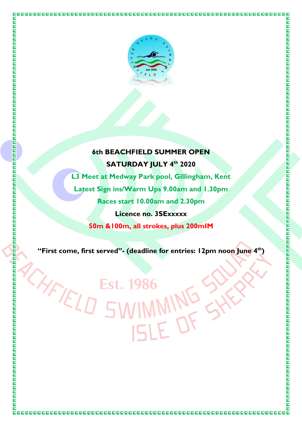

 $\overline{\blacksquare}$ 

 $\overline{\blacksquare}$ 

圖

 $\blacksquare$  $\overline{\mathbf{N}}$ 

 $\overline{\blacksquare}$  $\overline{\blacksquare}$  $\overline{\blacksquare}$ 

回

CHFIELD

# **6th BEACHFIELD SUMMER OPEN SATURDAY JULY 4 th 2020**

**L3 Meet at Medway Park pool, Gillingham, Kent Latest Sign ins/Warm Ups 9.00am and 1.30pm Races start 10.00am and 2.30pm Licence no. 3SExxxxx 50m &100m, all strokes, plus 200mIM**

**"First come, first served"- (deadline for entries: 12pm noon June 4 th)**

Est. 198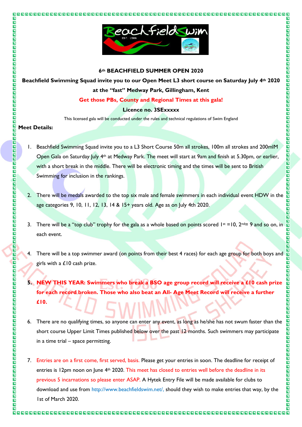

### **6th BEACHFIELD SUMMER OPEN 2020**

**Beachfield Swimming Squad invite you to our Open Meet L3 short course on Saturday July 4th 2020 at the "fast" Medway Park, Gillingham, Kent**

**Get those PBs, County and Regional Times at this gala!** 

### **Licence no. 3SExxxxx**

This licensed gala will be conducted under the rules and technical regulations of Swim England

### **Meet Details:**

 $\overline{\mathbf{L}}$ 

 $\overline{\mathbf{u}}$ 

OOOO

靣  $\overline{\mathbf{E}}$  $\overline{\blacksquare}$  $\overline{\mathbf{z}}$ 

 $\blacksquare$ 

OOOO

 $\overline{\blacksquare}$  $\overline{\mathbf{z}}$ 

 $\overline{\blacksquare}$  $\overline{\mathbf{u}}$  $\blacksquare$ 

 $\overline{\mathbf{z}}$ ם<br>מ  $\overline{\mathbf{z}}$  $\Box$ 同

四四四四

 $\blacksquare$ 

OOO 同 同

INDEN

**NNDDDDD** 

 $\bar{\mathbf{z}}$ 

**NND** 

 $\overline{\blacksquare}$ 

 $\blacksquare$ 

 $\blacksquare$ 

口口口

司  $\overline{\blacksquare}$  $\overline{\blacksquare}$  $\overline{\mathbf{p}}$ 

 $\overline{\blacksquare}$  $\overline{\mathbf{u}}$ 

OOOO

 $\overline{\mathbf{E}}$ 

 $\overline{\blacksquare}$ 

 $\overline{\mathbf{z}}$  $\overline{\blacksquare}$  $\overline{\mathbf{p}}$ 

OOO

 $\blacksquare$  $\blacksquare$ 

OOOOO

 $\blacksquare$ 

 $\overline{\blacksquare}$  $\overline{\mathbf{a}}$ 

- 1. Beachfield Swimming Squad invite you to a L3 Short Course 50m all strokes, 100m all strokes and 200mlM Open Gala on Saturday July 4th at Medway Park. The meet will start at 9am and finish at 5.30pm, or earlier, with a short break in the middle. There will be electronic timing and the times will be sent to British Swimming for inclusion in the rankings.
- 2. There will be medals awarded to the top six male and female swimmers in each individual event HDW in the age categories 9, 10, 11, 12, 13, 14 & 15+ years old. Age as on July 4th 2020.
- 3. There will be a "top club" trophy for the gala as a whole based on points scored  $1st = 10$ ,  $2nd = 9$  and so on, in each event.
- 4. There will be a top swimmer award (on points from their best 4 races) for each age group for both boys and girls with a £10 cash prize.
- **5. NEW THIS YEAR: Swimmers who break a BSO age group record will receive a £10 cash prize for each record broken. Those who also beat an All- Age Meet Record will receive a further £10.**
- 6. There are no qualifying times, so anyone can enter any event, as long as he/she has not swum faster than the short course Upper Limit Times published below over the past 12 months. Such swimmers may participate in a time trial – space permitting.
- 7. Entries are on a first come, first served, basis. Please get your entries in soon. The deadline for receipt of entries is 12pm noon on June 4<sup>th</sup> 2020. This meet has closed to entries well before the deadline in its previous 5 incarnations so please enter ASAP. A Hytek Entry File will be made available for clubs to download and use from http://www.beachfieldswim.net/, should they wish to make entries that way, by the 1st of March 2020.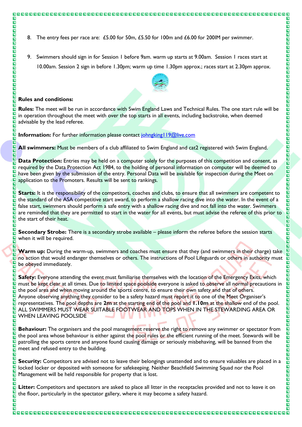9. Swimmers should sign in for Session 1 before 9am. warm up starts at 9.00am. Session 1 races start at 10.00am. Session 2 sign in before 1.30pm; warm up time 1.30pm approx.; races start at 2.30pm approx.



 $\overline{\blacksquare}$ 

00000000000

0000000000

0000000000

 $\boxed{\blacksquare}$ 

 $\blacksquare$ OO

 $\blacksquare$ 

**NNNN** 

OOO

E

回回

 $\overline{\mathbf{z}}$ 

 $\overline{\blacksquare}$ 

囗  $\overline{\mathbf{N}}$ 

 $\blacksquare$  $\overline{\mathbf{N}}$ 

同

 $\overline{\blacksquare}$  $\blacksquare$ 

同  $\overline{\blacksquare}$ 

 $\blacksquare$ 

OOOO

同

 $\overline{\blacksquare}$ 

 $\overline{\mathbf{z}}$ 

**NAGAZIO** 

 $\overline{\mathbf{L}}$  $\blacksquare$ 

OOOOO

 $\overline{\blacksquare}$  $\overline{\blacksquare}$ 

 $\overline{\mathbf{N}}$ 

### **Rules and conditions:**

000000000000000000

 $\overline{\mathbf{N}}$ 

 $\overline{\mathbf{z}}$ 

 $\blacksquare$ <u>ія</u><br>П 同 靣  $\overline{\mathbf{M}}$  $\overline{\mathbf{N}}$  $\overline{\blacksquare}$  $\overline{\blacksquare}$  $\overline{\mathbf{z}}$  $\blacksquare$ 

OOO 同  $\overline{\mathbf{z}}$ 回 靣  $\overline{\mathbf{u}}$ 

回  $\blacksquare$  $\overline{\mathbf{N}}$  $\overline{\mathbf{N}}$ 同 同 同 **NN** 

 $\blacksquare$ 

 $\overline{\mathbf{z}}$ 

同  $\overline{\mathbf{u}}$ 同

 $\overline{\mathbf{N}}$ 囗

 $\blacksquare$ 

 $\overline{\mathbf{N}}$ 

 $\overline{\mathbf{N}}$  $\Box$ 同 靣

 $\overline{\mathbf{N}}$ 

 $\blacksquare$  $\overline{\mathbf{h}}$ 

回

 $\blacksquare$ 回

 $\overline{\mathbf{N}}$ 

 $\blacksquare$ 

同

回

 $\blacksquare$ 

回

同 同 囗  $\overline{\mathbf{N}}$  $\Box$ 

 $\overline{\mathbf{N}}$ 

 $\overline{\mathbf{N}}$ 

 $\overline{\mathbf{z}}$ 

 $\overline{\mathbf{N}}$ 

 $\overline{\mathbf{z}}$  $\overline{\mathbf{N}}$ 

囗

同  $\overline{\mathbf{z}}$  $\overline{\mathbf{N}}$  $\overline{\bf N}$  $\overline{\mathbf{N}}$  $\overline{\mathbf{N}}$ 高

 $\blacksquare$ 

同

**Rules:** The meet will be run in accordance with Swim England Laws and Technical Rules. The one start rule will be in operation throughout the meet with over the top starts in all events, including backstroke, when deemed advisable by the lead referee.

**Information:** For further information please contact johngking 19@live.com

**All swimmers:** Must be members of a club affiliated to Swim England and cat2 registered with Swim England.

**Data Protection:** Entries may be held on a computer solely for the purposes of this competition and consent, as required by the Data Protection Act 1984, to the holding of personal information on computer will be deemed to have been given by the submission of the entry. Personal Data will be available for inspection during the Meet on application to the Promoters. Results will be sent to rankings.

**Starts:** It is the responsibility of the competitors, coaches and clubs, to ensure that all swimmers are competent to the standard of the ASA competitive start award, to perform a shallow racing dive into the water. In the event of a false start, swimmers should perform a safe entry with a shallow racing dive and not fall into the water. Swimmers are reminded that they are permitted to start in the water for all events, but must advise the referee of this prior to the start of their heat.

**Secondary Strobe:** There is a secondary strobe available – please inform the referee before the session starts when it will be required.

**Warm up:** During the warm-up, swimmers and coaches must ensure that they (and swimmers in their charge) take  $\overline{p}$  no action that would endanger themselves or others. The instructions of Pool Lifeguards or others in authority must be obeyed immediately.

**Safety:** Everyone attending the event must familiarise themselves with the location of the Emergency Exits, which must be kept clear at all times. Due to limited space poolside everyone is asked to observe all normal precautions in the pool area and when moving around the sports centre, to ensure their own safety and that of others. Anyone observing anything they consider to be a safety hazard must report it to one of the Meet Organiser's representatives. The pool depths are **2m** at the starting end of the pool and **1.10m** at the shallow end of the pool. ALL SWIMMERS MUST WEAR SUITABLE FOOTWEAR AND TOPS WHEN IN THE STEWARDING AREA OR WHEN LEAVING POOLSIDE

**Behaviour:** The organisers and the pool management reserve the right to remove any swimmer or spectator from the pool area whose behaviour is either against the pool rules or the efficient running of the meet. Stewards will be patrolling the sports centre and anyone found causing damage or seriously misbehaving, will be banned from the meet and refused entry to the building.

**Security:** Competitors are advised not to leave their belongings unattended and to ensure valuables are placed in a locked locker or deposited with someone for safekeeping. Neither Beachfield Swimming Squad nor the Pool Management will be held responsible for property that is lost.

**Litter:** Competitors and spectators are asked to place all litter in the receptacles provided and not to leave it on the floor, particularly in the spectator gallery, where it may become a safety hazard.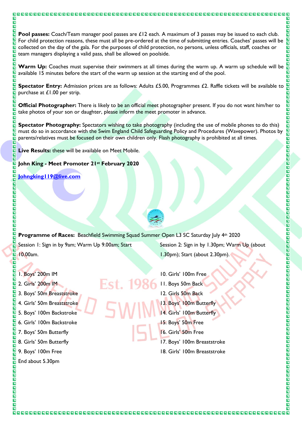**Pool passes:** Coach/Team manager pool passes are £12 each. A maximum of 3 passes may be issued to each club. For child protection reasons, these must all be pre-ordered at the time of submitting entries. Coaches' passes will be collected on the day of the gala. For the purposes of child protection, no persons, unless officials, staff, coaches or team managers displaying a valid pass, shall be allowed on poolside.

**Warm Up:** Coaches must supervise their swimmers at all times during the warm up. A warm up schedule will be  $\overline{\mathbf{z}}$ available 15 minutes before the start of the warm up session at the starting end of the pool.

**Spectator Entry:** Admission prices are as follows: Adults £5.00, Programmes £2. Raffle tickets will be available to purchase at £1.00 per strip.  $\overline{\blacksquare}$ 

**Official Photographer:** There is likely to be an official meet photographer present. If you do not want him/her to take photos of your son or daughter, please inform the meet promoter in advance.

**Spectator Photography:** Spectators wishing to take photography (including the use of mobile phones to do this) must do so in accordance with the Swim England Child Safeguarding Policy and Procedures (Wavepower). Photos by parents/relatives must be focused on their own children only. Flash photography is prohibited at all times.

**Live Results:** these will be available on Meet Mobile.

000000000000000000000000000000

 $\overline{\mathbf{N}}$ 

 $\overline{\mathbf{z}}$ 

 $\blacksquare$  $\overline{\mathbf{z}}$  $\overline{\mathbf{N}}$ 同

 $\blacksquare$ 

同

 $\overline{\mathbf{z}}$ 

 $\overline{\mathbf{N}}$ 

N<br>N  $\overline{\mathbf{h}}$  $\overline{\mathbf{n}}$ 

 $\overline{\blacksquare}$ 

 $\overline{\mathbf{z}}$ 

 $\overline{\blacksquare}$ 

回

 $\overline{\blacksquare}$  $\overline{\mathbf{z}}$  $\overline{\mathbf{N}}$  $\overline{\mathbf{h}}$  $\Box$ 

 $\overline{\mathbf{E}}$ 回回  $\blacksquare$ 

 $\overline{\mathbf{z}}$ 

<u>іл</u> 同 回

 $\blacksquare$ 

OOO

OOO  $\overline{\blacksquare}$ 

靣  $\blacksquare$ 

 $\overline{\mathbf{z}}$  $\overline{\blacksquare}$ 

 $\blacksquare$ 

 $\Box$ 

四四四

 $\overline{\mathbf{N}}$  $\overline{\blacksquare}$  $\overline{\mathbf{z}}$  $\frac{\square}{\square}$ 

 $\overline{\blacksquare}$  $\overline{\blacksquare}$ 回

 $\overline{\mathbf{z}}$  $\overline{\mathbf{N}}$ 靣  $\overline{\blacksquare}$  $\overline{\mathbf{N}}$  $\overline{\mathbf{z}}$ 回  $\overline{\mathbf{z}}$  $\overline{\mathbf{N}}$  $\blacksquare$  $\overline{\mathbf{z}}$ 

 $\blacksquare$  $\blacksquare$ 

OOOOO

 $\overline{\blacksquare}$  $\overline{\blacksquare}$ 

 $\overline{\mathbf{a}}$ 

 $\overline{\mathbf{N}}$ 

### **John King - Meet Promoter 21st February 2020**

**[Johngking119@live.com](mailto:Johngking119@live.com)**

**Programme of Races:** Beachfield Swimming Squad Summer Open L3 SC Saturday July 4th 2020 Session 1: Sign in by 9am; Warm Up 9.00am; Start 10.00am. 1.30pm); Start (about 2.30pm).

- 1. Boys' 200m IM
- 2. Girls' 200m IM
- 3. Boys' 50m Breaststroke
- 4. Girls' 50m Breaststroke
- 5. Boys' 100m Backstroke
- 6. Girls' 100m Backstroke
- 7. Boys' 50m Butterfly
- 8. Girls' 50m Butterfly
- 9. Boys' 100m Free
- End about 5.30pm

Session 2: Sign in by 1.30pm; Warm Up (about

 $\overline{\mathbf{z}}$ 

OOOO

同

 $\bar{\mathbf{h}}$  $\blacksquare$ 

 $\overline{\mathbf{N}}$ **NDDD** 

 $\overline{\blacksquare}$ 

 $\overline{\mathbf{u}}$  $\blacksquare$ 

 $\blacksquare$ 

**N N N N** 

**NNNNNN** 

 $\boxed{\blacksquare}$  $\Box$ 

OO

OOOO

OOOO

回回

IN<br>D

 $\overline{\blacksquare}$ 

 $\blacksquare$ 

 $\blacksquare$ 

**NNNNNNNN** 

 $\blacksquare$ 

o da da da da da da da d

 $\overline{\mathbf{B}}$ 

**NAGAZO** 

 $\overline{\blacksquare}$ 

 $\overline{\mathbf{N}}$ 

- 10. Girls' 100m Free
- 11. Boys 50m Back
- 12. Girls 50m Back
- 13. Boys' 100m Butterfly
- 14. Girls' 100m Butterfly
- 15. Boys' 50m Free
- 16. Girls' 50m Free
- 17. Boys' 100m Breaststroke
- 18. Girls' 100m Breaststroke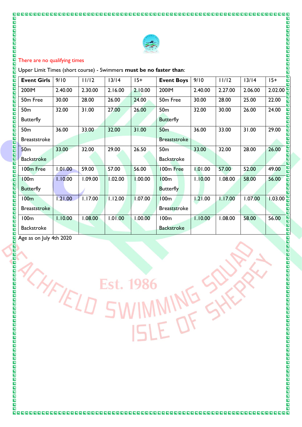

### There are no qualifying times

| $\overline{\mathbf{z}}$<br>$\overline{\mathbf{N}}$<br>There are no qualifying times<br>$\overline{\mathbf{z}}$<br>$\blacksquare$<br>Upper Limit Times (short course) - Swimmers must be no faster than:<br>同 |         |         |         |         |                                     |         |         |         |         |
|--------------------------------------------------------------------------------------------------------------------------------------------------------------------------------------------------------------|---------|---------|---------|---------|-------------------------------------|---------|---------|---------|---------|
| <b>Event Girls</b>                                                                                                                                                                                           | 9/10    | 11/12   | $13/14$ | $15+$   | <b>Event Boys</b>                   | 9/10    | 11/12   | 13/14   | $15+$   |
| 200IM                                                                                                                                                                                                        | 2.40.00 | 2.30.00 | 2.16.00 | 2.10.00 | 200IM                               | 2.40.00 | 2.27.00 | 2.06.00 | 2.02.00 |
| 50m Free                                                                                                                                                                                                     | 30.00   | 28.00   | 26.00   | 24.00   | 50m Free                            | 30.00   | 28.00   | 25.00   | 22.00   |
| 50 <sub>m</sub><br><b>Butterfly</b>                                                                                                                                                                          | 32.00   | 31.00   | 27.00   | 26.00   | 50 <sub>m</sub><br><b>Butterfly</b> | 32.00   | 30.00   | 26.00   | 24.00   |
| 50 <sub>m</sub>                                                                                                                                                                                              | 36.00   | 33.00   | 32.00   | 31.00   | 50 <sub>m</sub>                     | 36.00   | 33.00   | 31.00   | 29.00   |
| <b>Breaststroke</b>                                                                                                                                                                                          |         |         |         |         | <b>Breaststroke</b>                 |         |         |         |         |
| 50 <sub>m</sub>                                                                                                                                                                                              | 33.00   | 32.00   | 29.00   | 26.50   | 50 <sub>m</sub>                     | 33.00   | 32.00   | 28.00   | 26.00   |
| <b>Backstroke</b>                                                                                                                                                                                            |         |         |         |         | <b>Backstroke</b>                   |         |         |         |         |
| 100m Free                                                                                                                                                                                                    | 1.01.00 | 59.00   | 57.00   | 56.00   | 100m Free                           | 00.10.1 | 57.00   | 52.00   | 49.00   |
| <b>100m</b>                                                                                                                                                                                                  | 1.10.00 | 1.09.00 | 1.02.00 | 1.00.00 | <b>100m</b>                         | 1.10.00 | 1.08.00 | 58.00   | 56.00   |
| <b>Butterfly</b>                                                                                                                                                                                             |         |         |         |         | <b>Butterfly</b>                    |         |         |         |         |
| 100m                                                                                                                                                                                                         | 1.21.00 | 1.17.00 | 1.12.00 | 1.07.00 | 100 <sub>m</sub>                    | 1.21.00 | 1.17.00 | 1.07.00 | 1.03.00 |
| <b>Breaststroke</b>                                                                                                                                                                                          |         |         |         |         | <b>Breaststroke</b>                 |         |         |         |         |
| 100 <sub>m</sub>                                                                                                                                                                                             | 1.10.00 | 1.08.00 | 1.01.00 | 1.00.00 | 100m                                | 1.10.00 | 1.08.00 | 58.00   | 56.00   |
|                                                                                                                                                                                                              |         |         |         |         | <b>Backstroke</b>                   |         |         |         |         |
| <b>Backstroke</b><br>Age as on July 4th 2020                                                                                                                                                                 |         |         |         |         |                                     |         |         |         |         |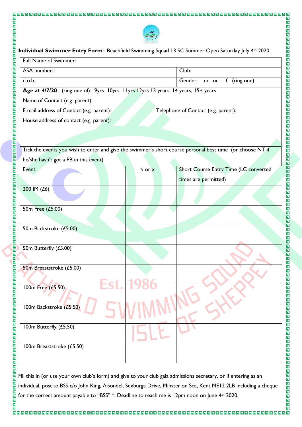

OOOOOOOOO

000000000000000000000

00000000000

00000000000000000000000000

| Full Name of Swimmer:                                                                                     |                              |                                       |
|-----------------------------------------------------------------------------------------------------------|------------------------------|---------------------------------------|
| ASA number:                                                                                               |                              | Club:                                 |
| $d.o.b.$ :                                                                                                | Gender:<br>m or f (ring one) |                                       |
| Age at 4/7/20 (ring one of): 9yrs 10yrs 11yrs 12yrs 13 years, 14 years, 15+ years                         |                              |                                       |
| Name of Contact (e.g. parent)                                                                             |                              |                                       |
| E mail address of Contact (e.g. parent):                                                                  |                              | Telephone of Contact (e.g. parent):   |
| House address of contact (e.g. parent):                                                                   |                              |                                       |
| Tick the events you wish to enter and give the swimmer's short course personal best time (or choose NT if |                              |                                       |
| he/she hasn't got a PB in this event)                                                                     |                              |                                       |
| Event                                                                                                     | $\sqrt{or x}$                | Short Course Entry Time (LC converted |
|                                                                                                           |                              | times are permitted)                  |
| 200 IM (£6)                                                                                               |                              |                                       |
| 50m Free (£5.00)                                                                                          |                              |                                       |
| 50m Backstroke (£5.00)                                                                                    |                              |                                       |
| 50m Butterfly (£5.00)                                                                                     |                              |                                       |
| 50m Breaststroke (£5.00)                                                                                  |                              |                                       |
| 100m Free (£5.50)                                                                                         |                              |                                       |
| 100m Backstroke (£5.50)                                                                                   |                              |                                       |
| 100m Butterfly (£5.50)                                                                                    |                              |                                       |
|                                                                                                           |                              |                                       |

Fill this in (or use your own club's form) and give to your club gala admissions secretary, or if entering as an individual, post to BSS c/o John King, Aisondel, Sexburga Drive, Minster on Sea, Kent ME12 2LB including a cheque for the correct amount payable to "BSS" \*. Deadline to reach me is 12pm noon on June 4th 2020.

 $\overline{\blacksquare}$  $\overline{\blacksquare}$  $\blacksquare$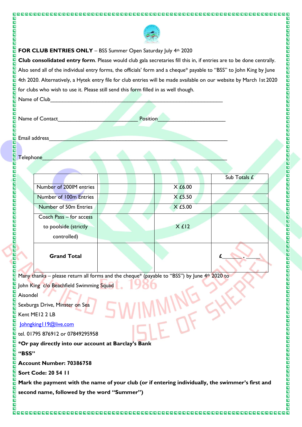

 $\overline{\mathbf{N}}$ 

00000000000

0000000000

00000000000

**NAGE** 

OOOO

OOOO

同 靣  $\overline{\mathbf{E}}$  $\overline{\blacksquare}$ 

 $\blacksquare$ 

N N N N N N N N

 $\overline{\mathbf{z}}$ 

 $\overline{\mathbf{z}}$ 

o da da da da da da da d

**N N N N N N N N** 

靣

 $\overline{\blacksquare}$ 

圖

## **FOR CLUB ENTRIES ONLY** – BSS Summer Open Saturday July 4th 2020

**Club consolidated entry form**. Please would club gala secretaries fill this in, if entries are to be done centrally. Also send all of the individual entry forms, the officials' form and a cheque\* payable to "BSS" to John King by June 4th 2020. Alternatively, a Hytek entry file for club entries will be made available on our website by March 1st 2020 for clubs who wish to use it. Please still send this form filled in as well though.

Name of Club

 $\blacksquare$  $\overline{\blacksquare}$ 

 $\blacksquare$ 

BODO

Ē 靣  $\overline{\mathbf{E}}$  $\overline{\blacksquare}$  $\overline{\mathbf{z}}$  $\blacksquare$ 

 $\overline{\mathbf{N}}$ INDIN 同  $\overline{\blacksquare}$ 

OOO

 $\blacksquare$ 

**N D D D** 同

OOOO

OOO

同 同

N N N N N

**BBBBBBBBB** 

 $\blacksquare$ 

OOOO

 $\overline{\mathbf{p}}$  $\overline{\blacksquare}$  $\overline{\mathbf{B}}$  $\overline{\blacksquare}$ 

 $\blacksquare$ 

 $\blacksquare$ 

OOO

 $\overline{\mathbf{E}}$  $\overline{\blacksquare}$  $\overline{\blacksquare}$  $\overline{\blacksquare}$ **ELE** 

OOO

 $\blacksquare$ 

 $\overline{\blacksquare}$  $\overline{\mathbf{z}}$ 

**NDD**  $\overline{\mathbf{p}}$  $\blacksquare$ 

 $\overline{\blacksquare}$  $\overline{\mathbf{N}}$ 

回

0000000000000000000

|  | Name of Contact | Position |  |
|--|-----------------|----------|--|
|--|-----------------|----------|--|

Email address

Telephone

|                         |           | Sub Totals £ |
|-------------------------|-----------|--------------|
| Number of 200IM entries | $X_E6.00$ |              |
| Number of 100m Entries  | X £5.50   |              |
| Number of 50m Entries   | $X$ £5.00 |              |
| Coach Pass - for access |           |              |
| to poolside (strictly   | Xf12      |              |
| controlled)             |           |              |
| <b>Grand Total</b>      |           |              |

Many thanks – please return all forms and the cheque\* (payable to "BSS") by June  $4<sup>th</sup>$  2020 to

John King c/o Beachfield Swimming Squad

Aisondel

Sexburga Drive, Minster on Sea

Kent ME12 2 LB

Johngking | 19@live.com

tel. 01795 876912 or 07849295958

**\*Or pay directly into our account at Barclay's Bank**

### **"BSS"**

**Account Number: 70386758**

**Sort Code: 20 54 11**

**Mark the payment with the name of your club (or if entering individually, the swimmer's first and second name, followed by the word "Summer")**